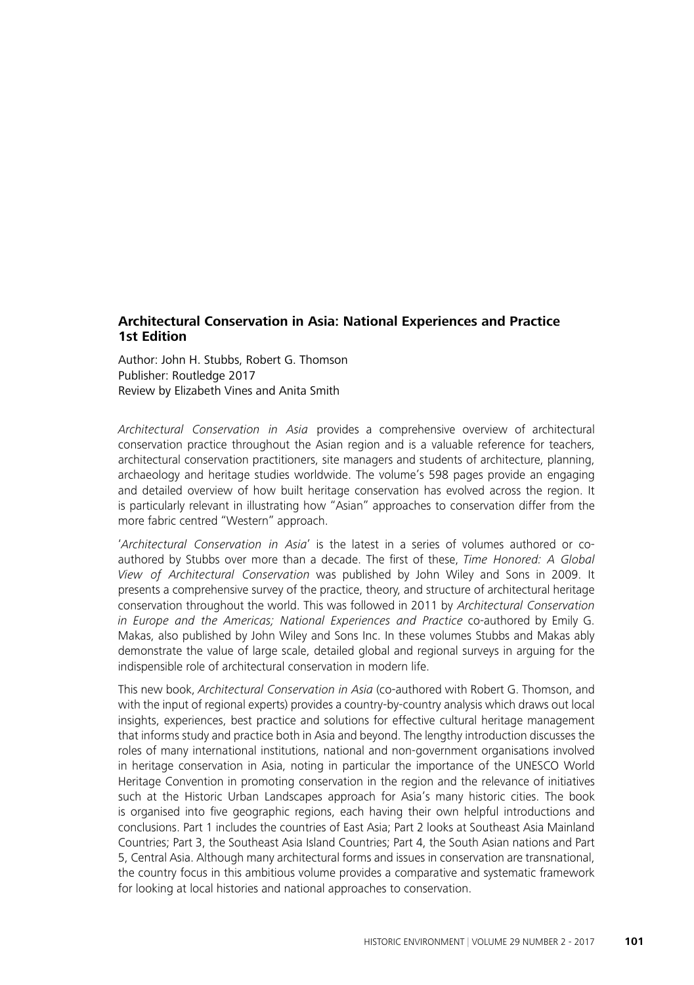## **Architectural Conservation in Asia: National Experiences and Practice 1st Edition**

Author: John H. Stubbs, Robert G. Thomson Publisher: Routledge 2017 Review by Elizabeth Vines and Anita Smith

Architectural Conservation in Asia provides a comprehensive overview of architectural conservation practice throughout the Asian region and is a valuable reference for teachers, architectural conservation practitioners, site managers and students of architecture, planning, archaeology and heritage studies worldwide. The volume's 598 pages provide an engaging and detailed overview of how built heritage conservation has evolved across the region. It is particularly relevant in illustrating how "Asian" approaches to conservation differ from the more fabric centred "Western" approach.

'Architectural Conservation in Asia' is the latest in a series of volumes authored or coauthored by Stubbs over more than a decade. The first of these, Time Honored: A Global View of Architectural Conservation was published by John Wiley and Sons in 2009. It presents a comprehensive survey of the practice, theory, and structure of architectural heritage conservation throughout the world. This was followed in 2011 by Architectural Conservation in Europe and the Americas; National Experiences and Practice co-authored by Emily G. Makas, also published by John Wiley and Sons Inc. In these volumes Stubbs and Makas ably demonstrate the value of large scale, detailed global and regional surveys in arguing for the indispensible role of architectural conservation in modern life.

This new book, Architectural Conservation in Asia (co-authored with Robert G. Thomson, and with the input of regional experts) provides a country-by-country analysis which draws out local insights, experiences, best practice and solutions for effective cultural heritage management that informs study and practice both in Asia and beyond. The lengthy introduction discusses the roles of many international institutions, national and non-government organisations involved in heritage conservation in Asia, noting in particular the importance of the UNESCO World Heritage Convention in promoting conservation in the region and the relevance of initiatives such at the Historic Urban Landscapes approach for Asia's many historic cities. The book is organised into five geographic regions, each having their own helpful introductions and conclusions. Part 1 includes the countries of East Asia; Part 2 looks at Southeast Asia Mainland Countries; Part 3, the Southeast Asia Island Countries; Part 4, the South Asian nations and Part 5, Central Asia. Although many architectural forms and issues in conservation are transnational, the country focus in this ambitious volume provides a comparative and systematic framework for looking at local histories and national approaches to conservation.